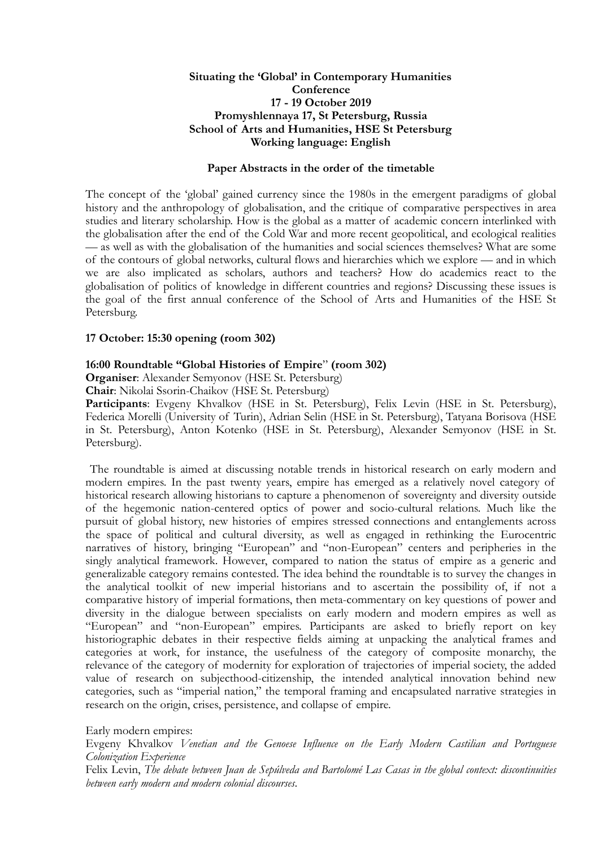### **Situating the 'Global' in Contemporary Humanities Conference 17 - 19 October 2019 Promyshlennaya 17, St Petersburg, Russia School of Arts and Humanities, HSE St Petersburg Working language: English**

#### **Paper Abstracts in the order of the timetable**

The concept of the 'global' gained currency since the 1980s in the emergent paradigms of global history and the anthropology of globalisation, and the critique of comparative perspectives in area studies and literary scholarship. How is the global as a matter of academic concern interlinked with the globalisation after the end of the Cold War and more recent geopolitical, and ecological realities — as well as with the globalisation of the humanities and social sciences themselves? What are some of the contours of global networks, cultural flows and hierarchies which we explore — and in which we are also implicated as scholars, authors and teachers? How do academics react to the globalisation of politics of knowledge in different countries and regions? Discussing these issues is the goal of the first annual conference of the School of Arts and Humanities of the HSE St Petersburg.

#### **17 October: 15:30 opening (room 302)**

#### **16:00 Roundtable "Global Histories of Empire**" **(room 302)**

**Organiser**: Alexander Semyonov (HSE St. Petersburg)

**Chair**: Nikolai Ssorin-Chaikov (HSE St. Petersburg)

Participants: Evgeny Khvalkov (HSE in St. Petersburg), Felix Levin (HSE in St. Petersburg), Federica Morelli (University of Turin), Adrian Selin (HSE in St. Petersburg), Tatyana Borisova (HSE in St. Petersburg), Anton Kotenko (HSE in St. Petersburg), Alexander Semyonov (HSE in St. Petersburg).

 The roundtable is aimed at discussing notable trends in historical research on early modern and modern empires. In the past twenty years, empire has emerged as a relatively novel category of historical research allowing historians to capture a phenomenon of sovereignty and diversity outside of the hegemonic nation-centered optics of power and socio-cultural relations. Much like the pursuit of global history, new histories of empires stressed connections and entanglements across the space of political and cultural diversity, as well as engaged in rethinking the Eurocentric narratives of history, bringing "European" and "non-European" centers and peripheries in the singly analytical framework. However, compared to nation the status of empire as a generic and generalizable category remains contested. The idea behind the roundtable is to survey the changes in the analytical toolkit of new imperial historians and to ascertain the possibility of, if not a comparative history of imperial formations, then meta-commentary on key questions of power and diversity in the dialogue between specialists on early modern and modern empires as well as "European" and "non-European" empires. Participants are asked to briefly report on key historiographic debates in their respective fields aiming at unpacking the analytical frames and categories at work, for instance, the usefulness of the category of composite monarchy, the relevance of the category of modernity for exploration of trajectories of imperial society, the added value of research on subjecthood-citizenship, the intended analytical innovation behind new categories, such as "imperial nation," the temporal framing and encapsulated narrative strategies in research on the origin, crises, persistence, and collapse of empire.

Early modern empires:

Evgeny Khvalkov *Venetian and the Genoese Influence on the Early Modern Castilian and Portuguese Colonization Experience* 

Felix Levin, *The debate between Juan de Sepúlveda and Bartolomé Las Casas in the global context: discontinuities between early modern and modern colonial discourses*.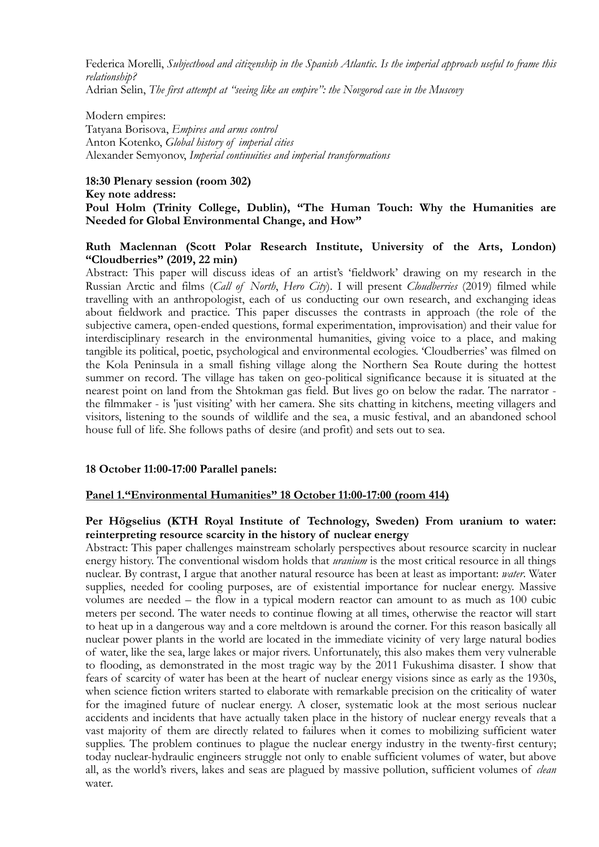Federica Morelli, *Subjecthood and citizenship in the Spanish Atlantic. Is the imperial approach useful to frame this relationship?* 

Adrian Selin, *The first attempt at "seeing like an empire": the Novgorod case in the Muscovy*

Modern empires:

Tatyana Borisova, *Empires and arms control*  Anton Kotenko, *Global history of imperial cities*  Alexander Semyonov, *Imperial continuities and imperial transformations*

### **18:30 Plenary session (room 302) Key note address: Poul Holm (Trinity College, Dublin), "The Human Touch: Why the Humanities are Needed for Global Environmental Change, and How"**

## **Ruth Maclennan (Scott Polar Research Institute, University of the Arts, London) "Cloudberries" (2019, 22 min)**

Abstract: This paper will discuss ideas of an artist's 'fieldwork' drawing on my research in the Russian Arctic and films (*Call of North*, *Hero City*). I will present *Cloudberries* (2019) filmed while travelling with an anthropologist, each of us conducting our own research, and exchanging ideas about fieldwork and practice. This paper discusses the contrasts in approach (the role of the subjective camera, open-ended questions, formal experimentation, improvisation) and their value for interdisciplinary research in the environmental humanities, giving voice to a place, and making tangible its political, poetic, psychological and environmental ecologies. 'Cloudberries' was filmed on the Kola Peninsula in a small fishing village along the Northern Sea Route during the hottest summer on record. The village has taken on geo-political significance because it is situated at the nearest point on land from the Shtokman gas field. But lives go on below the radar. The narrator the filmmaker - is 'just visiting' with her camera. She sits chatting in kitchens, meeting villagers and visitors, listening to the sounds of wildlife and the sea, a music festival, and an abandoned school house full of life. She follows paths of desire (and profit) and sets out to sea.

# **18 October 11:00-17:00 Parallel panels:**

# **Panel 1."Environmental Humanities" 18 October 11:00-17:00 (room 414)**

## **Per Högselius (KTH Royal Institute of Technology, Sweden) From uranium to water: reinterpreting resource scarcity in the history of nuclear energy**

Abstract: This paper challenges mainstream scholarly perspectives about resource scarcity in nuclear energy history. The conventional wisdom holds that *uranium* is the most critical resource in all things nuclear. By contrast, I argue that another natural resource has been at least as important: *water*. Water supplies, needed for cooling purposes, are of existential importance for nuclear energy. Massive volumes are needed – the flow in a typical modern reactor can amount to as much as 100 cubic meters per second. The water needs to continue flowing at all times, otherwise the reactor will start to heat up in a dangerous way and a core meltdown is around the corner. For this reason basically all nuclear power plants in the world are located in the immediate vicinity of very large natural bodies of water, like the sea, large lakes or major rivers. Unfortunately, this also makes them very vulnerable to flooding, as demonstrated in the most tragic way by the 2011 Fukushima disaster. I show that fears of scarcity of water has been at the heart of nuclear energy visions since as early as the 1930s, when science fiction writers started to elaborate with remarkable precision on the criticality of water for the imagined future of nuclear energy. A closer, systematic look at the most serious nuclear accidents and incidents that have actually taken place in the history of nuclear energy reveals that a vast majority of them are directly related to failures when it comes to mobilizing sufficient water supplies. The problem continues to plague the nuclear energy industry in the twenty-first century; today nuclear-hydraulic engineers struggle not only to enable sufficient volumes of water, but above all, as the world's rivers, lakes and seas are plagued by massive pollution, sufficient volumes of *clean* water.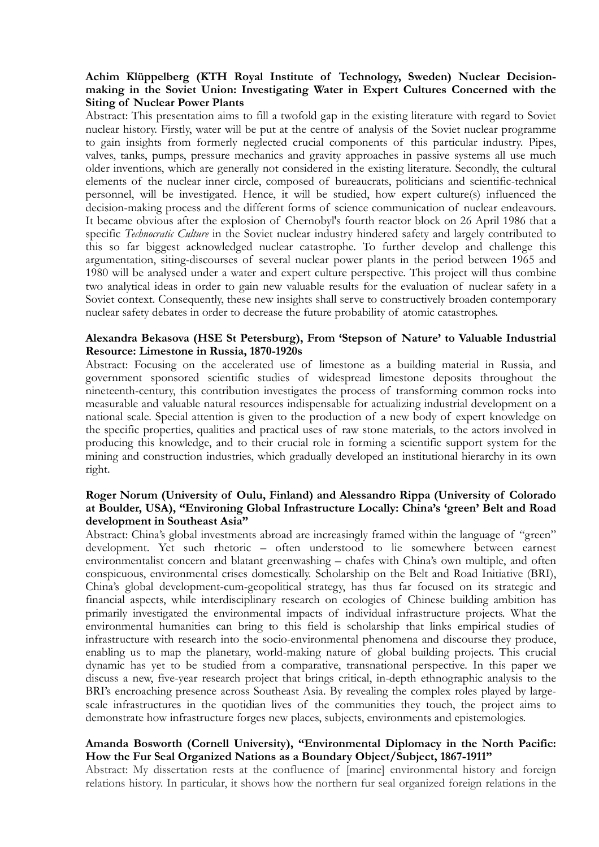### **Achim Klüppelberg (KTH Royal Institute of Technology, Sweden) Nuclear Decisionmaking in the Soviet Union: Investigating Water in Expert Cultures Concerned with the Siting of Nuclear Power Plants**

Abstract: This presentation aims to fill a twofold gap in the existing literature with regard to Soviet nuclear history. Firstly, water will be put at the centre of analysis of the Soviet nuclear programme to gain insights from formerly neglected crucial components of this particular industry. Pipes, valves, tanks, pumps, pressure mechanics and gravity approaches in passive systems all use much older inventions, which are generally not considered in the existing literature. Secondly, the cultural elements of the nuclear inner circle, composed of bureaucrats, politicians and scientific-technical personnel, will be investigated. Hence, it will be studied, how expert culture(s) influenced the decision-making process and the different forms of science communication of nuclear endeavours. It became obvious after the explosion of Chernobyl's fourth reactor block on 26 April 1986 that a specific *Technocratic Culture* in the Soviet nuclear industry hindered safety and largely contributed to this so far biggest acknowledged nuclear catastrophe. To further develop and challenge this argumentation, siting-discourses of several nuclear power plants in the period between 1965 and 1980 will be analysed under a water and expert culture perspective. This project will thus combine two analytical ideas in order to gain new valuable results for the evaluation of nuclear safety in a Soviet context. Consequently, these new insights shall serve to constructively broaden contemporary nuclear safety debates in order to decrease the future probability of atomic catastrophes.

### **Alexandra Bekasova (HSE St Petersburg), From 'Stepson of Nature' to Valuable Industrial Resource: Limestone in Russia, 1870-1920s**

Abstract: Focusing on the accelerated use of limestone as a building material in Russia, and government sponsored scientific studies of widespread limestone deposits throughout the nineteenth-century, this contribution investigates the process of transforming common rocks into measurable and valuable natural resources indispensable for actualizing industrial development on a national scale. Special attention is given to the production of a new body of expert knowledge on the specific properties, qualities and practical uses of raw stone materials, to the actors involved in producing this knowledge, and to their crucial role in forming a scientific support system for the mining and construction industries, which gradually developed an institutional hierarchy in its own right.

### **Roger Norum (University of Oulu, Finland) and Alessandro Rippa (University of Colorado at Boulder, USA), "Environing Global Infrastructure Locally: China's 'green' Belt and Road development in Southeast Asia"**

Abstract: China's global investments abroad are increasingly framed within the language of "green" development. Yet such rhetoric – often understood to lie somewhere between earnest environmentalist concern and blatant greenwashing – chafes with China's own multiple, and often conspicuous, environmental crises domestically. Scholarship on the Belt and Road Initiative (BRI), China's global development-cum-geopolitical strategy, has thus far focused on its strategic and financial aspects, while interdisciplinary research on ecologies of Chinese building ambition has primarily investigated the environmental impacts of individual infrastructure projects. What the environmental humanities can bring to this field is scholarship that links empirical studies of infrastructure with research into the socio-environmental phenomena and discourse they produce, enabling us to map the planetary, world-making nature of global building projects. This crucial dynamic has yet to be studied from a comparative, transnational perspective. In this paper we discuss a new, five-year research project that brings critical, in-depth ethnographic analysis to the BRI's encroaching presence across Southeast Asia. By revealing the complex roles played by largescale infrastructures in the quotidian lives of the communities they touch, the project aims to demonstrate how infrastructure forges new places, subjects, environments and epistemologies.

#### **Amanda Bosworth (Cornell University), "Environmental Diplomacy in the North Pacific: How the Fur Seal Organized Nations as a Boundary Object/Subject, 1867-1911"**

Abstract: My dissertation rests at the confluence of [marine] environmental history and foreign relations history. In particular, it shows how the northern fur seal organized foreign relations in the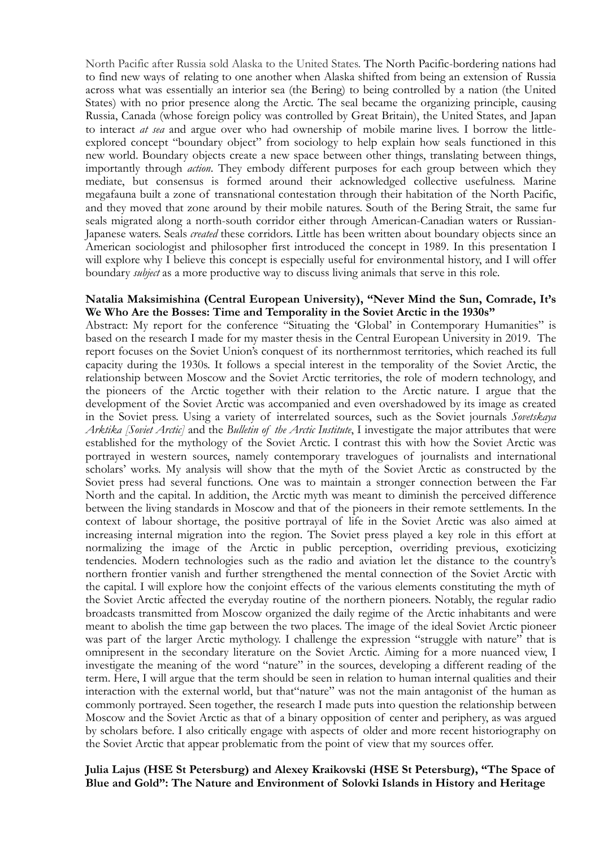North Pacific after Russia sold Alaska to the United States. The North Pacific-bordering nations had to find new ways of relating to one another when Alaska shifted from being an extension of Russia across what was essentially an interior sea (the Bering) to being controlled by a nation (the United States) with no prior presence along the Arctic. The seal became the organizing principle, causing Russia, Canada (whose foreign policy was controlled by Great Britain), the United States, and Japan to interact *at sea* and argue over who had ownership of mobile marine lives. I borrow the littleexplored concept "boundary object" from sociology to help explain how seals functioned in this new world. Boundary objects create a new space between other things, translating between things, importantly through *action*. They embody different purposes for each group between which they mediate, but consensus is formed around their acknowledged collective usefulness. Marine megafauna built a zone of transnational contestation through their habitation of the North Pacific, and they moved that zone around by their mobile natures. South of the Bering Strait, the same fur seals migrated along a north-south corridor either through American-Canadian waters or Russian-Japanese waters. Seals *created* these corridors. Little has been written about boundary objects since an American sociologist and philosopher first introduced the concept in 1989. In this presentation I will explore why I believe this concept is especially useful for environmental history, and I will offer boundary *subject* as a more productive way to discuss living animals that serve in this role.

#### **Natalia Maksimishina (Central European University), "Never Mind the Sun, Comrade, It's We Who Are the Bosses: Time and Temporality in the Soviet Arctic in the 1930s"**

Abstract: My report for the conference "Situating the 'Global' in Contemporary Humanities" is based on the research I made for my master thesis in the Central European University in 2019. The report focuses on the Soviet Union's conquest of its northernmost territories, which reached its full capacity during the 1930s. It follows a special interest in the temporality of the Soviet Arctic, the relationship between Moscow and the Soviet Arctic territories, the role of modern technology, and the pioneers of the Arctic together with their relation to the Arctic nature. I argue that the development of the Soviet Arctic was accompanied and even overshadowed by its image as created in the Soviet press. Using a variety of interrelated sources, such as the Soviet journals *Sovetskaya Arktika [Soviet Arctic]* and the *Bulletin of the Arctic Institute*, I investigate the major attributes that were established for the mythology of the Soviet Arctic. I contrast this with how the Soviet Arctic was portrayed in western sources, namely contemporary travelogues of journalists and international scholars' works. My analysis will show that the myth of the Soviet Arctic as constructed by the Soviet press had several functions. One was to maintain a stronger connection between the Far North and the capital. In addition, the Arctic myth was meant to diminish the perceived difference between the living standards in Moscow and that of the pioneers in their remote settlements. In the context of labour shortage, the positive portrayal of life in the Soviet Arctic was also aimed at increasing internal migration into the region. The Soviet press played a key role in this effort at normalizing the image of the Arctic in public perception, overriding previous, exoticizing tendencies. Modern technologies such as the radio and aviation let the distance to the country's northern frontier vanish and further strengthened the mental connection of the Soviet Arctic with the capital. I will explore how the conjoint effects of the various elements constituting the myth of the Soviet Arctic affected the everyday routine of the northern pioneers. Notably, the regular radio broadcasts transmitted from Moscow organized the daily regime of the Arctic inhabitants and were meant to abolish the time gap between the two places. The image of the ideal Soviet Arctic pioneer was part of the larger Arctic mythology. I challenge the expression "struggle with nature" that is omnipresent in the secondary literature on the Soviet Arctic. Aiming for a more nuanced view, I investigate the meaning of the word "nature" in the sources, developing a different reading of the term. Here, I will argue that the term should be seen in relation to human internal qualities and their interaction with the external world, but that"nature" was not the main antagonist of the human as commonly portrayed. Seen together, the research I made puts into question the relationship between Moscow and the Soviet Arctic as that of a binary opposition of center and periphery, as was argued by scholars before. I also critically engage with aspects of older and more recent historiography on the Soviet Arctic that appear problematic from the point of view that my sources offer.

#### **Julia Lajus (HSE St Petersburg) and Alexey Kraikovski (HSE St Petersburg), "The Space of Blue and Gold": The Nature and Environment of Solovki Islands in History and Heritage**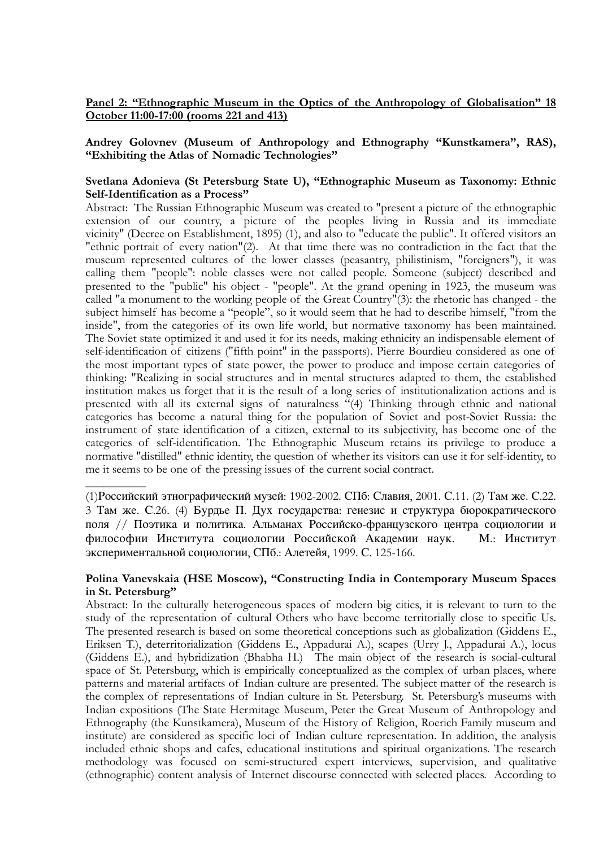## Panel 2: "Ethnographic Museum in the Optics of the Anthropology of Globalisation" 18 **October 11:00-17:00 (rooms 221 and 413)**

**Andrey Golovnev (Museum of Anthropology and Ethnography "Kunstkamera", RAS), "Exhibiting the Atlas of Nomadic Technologies"** 

## **Svetlana Adonieva (St Petersburg State U), "Ethnographic Museum as Taxonomy: Ethnic Self-Identification as a Process"**

Abstract: The Russian Ethnographic Museum was created to "present a picture of the ethnographic extension of our country, a picture of the peoples living in Russia and its immediate vicinity" (Decree on Establishment, 1895) (1), and also to "educate the public". It offered visitors an "ethnic portrait of every nation"(2). At that time there was no contradiction in the fact that the museum represented cultures of the lower classes (peasantry, philistinism, "foreigners"), it was calling them "people": noble classes were not called people. Someone (subject) described and presented to the "public" his object - "people". At the grand opening in 1923, the museum was called "a monument to the working people of the Great Country"(3): the rhetoric has changed - the subject himself has become a "people", so it would seem that he had to describe himself, "from the inside", from the categories of its own life world, but normative taxonomy has been maintained. The Soviet state optimized it and used it for its needs, making ethnicity an indispensable element of self-identification of citizens ("fifth point" in the passports). Pierre Bourdieu considered as one of the most important types of state power, the power to produce and impose certain categories of thinking: "Realizing in social structures and in mental structures adapted to them, the established institution makes us forget that it is the result of a long series of institutionalization actions and is presented with all its external signs of naturalness  $\frac{d}{dx}$  Thinking through ethnic and national categories has become a natural thing for the population of Soviet and post-Soviet Russia: the instrument of state identification of a citizen, external to its subjectivity, has become one of the categories of self-identification. The Ethnographic Museum retains its privilege to produce a normative "distilled" ethnic identity, the question of whether its visitors can use it for self-identity, to me it seems to be one of the pressing issues of the current social contract.

 $\overline{\phantom{a}}$ 

### **Polina Vanevskaia (HSE Moscow), "Constructing India in Contemporary Museum Spaces in St. Petersburg"**

Abstract: In the culturally heterogeneous spaces of modern big cities, it is relevant to turn to the study of the representation of cultural Others who have become territorially close to specific Us. The presented research is based on some theoretical conceptions such as globalization (Giddens E., Eriksen T.), deterritorialization (Giddens E., Appadurai A.), scapes (Urry J., Appadurai A.), locus (Giddens E.), and hybridization (Bhabha H.) The main object of the research is social-cultural space of St. Petersburg, which is empirically conceptualized as the complex of urban places, where patterns and material artifacts of Indian culture are presented. The subject matter of the research is the complex of representations of Indian culture in St. Petersburg. St. Petersburg's museums with Indian expositions (The State Hermitage Museum, Peter the Great Museum of Anthropology and Ethnography (the Kunstkamera), Museum of the History of Religion, Roerich Family museum and institute) are considered as specific loci of Indian culture representation. In addition, the analysis included ethnic shops and cafes, educational institutions and spiritual organizations. The research methodology was focused on semi-structured expert interviews, supervision, and qualitative (ethnographic) content analysis of Internet discourse connected with selected places. According to

<sup>(1)</sup>Российский этнографический музей: 1902-2002. СПб: Славия, 2001. С.11. (2) Там же. С.22. 3 Там же. С.26. (4) Бурдье П. Дух государства: генезис и структура бюрократического поля // Поэтика и политика. Альманах Российско-французского центра социологии и философии Института социологии Российской Академии наук. М.: Институт экспериментальной социологии, СПб.: Алетейя, 1999. С. 125-166.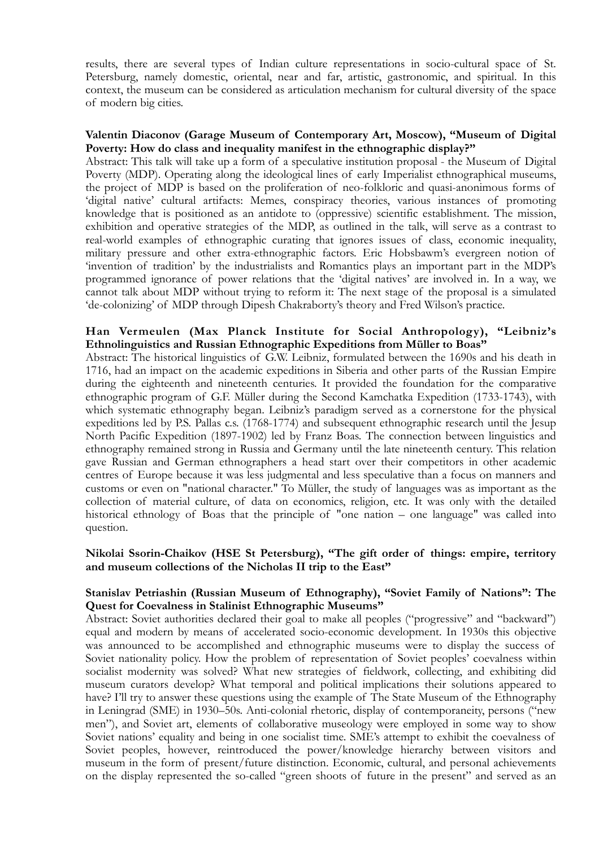results, there are several types of Indian culture representations in socio-cultural space of St. Petersburg, namely domestic, oriental, near and far, artistic, gastronomic, and spiritual. In this context, the museum can be considered as articulation mechanism for cultural diversity of the space of modern big cities.

#### **Valentin Diaconov (Garage Museum of Contemporary Art, Moscow), "Museum of Digital Poverty: How do class and inequality manifest in the ethnographic display?"**

Abstract: This talk will take up a form of a speculative institution proposal - the Museum of Digital Poverty (MDP). Operating along the ideological lines of early Imperialist ethnographical museums, the project of MDP is based on the proliferation of neo-folkloric and quasi-anonimous forms of 'digital native' cultural artifacts: Memes, conspiracy theories, various instances of promoting knowledge that is positioned as an antidote to (oppressive) scientific establishment. The mission, exhibition and operative strategies of the MDP, as outlined in the talk, will serve as a contrast to real-world examples of ethnographic curating that ignores issues of class, economic inequality, military pressure and other extra-ethnographic factors. Eric Hobsbawm's evergreen notion of 'invention of tradition' by the industrialists and Romantics plays an important part in the MDP's programmed ignorance of power relations that the 'digital natives' are involved in. In a way, we cannot talk about MDP without trying to reform it: The next stage of the proposal is a simulated 'de-colonizing' of MDP through Dipesh Chakraborty's theory and Fred Wilson's practice.

#### **Han Vermeulen (Max Planck Institute for Social Anthropology), "Leibniz's Ethnolinguistics and Russian Ethnographic Expeditions from Müller to Boas"**

Abstract: The historical linguistics of G.W. Leibniz, formulated between the 1690s and his death in 1716, had an impact on the academic expeditions in Siberia and other parts of the Russian Empire during the eighteenth and nineteenth centuries. It provided the foundation for the comparative ethnographic program of G.F. Müller during the Second Kamchatka Expedition (1733-1743), with which systematic ethnography began. Leibniz's paradigm served as a cornerstone for the physical expeditions led by P.S. Pallas c.s. (1768-1774) and subsequent ethnographic research until the Jesup North Pacific Expedition (1897-1902) led by Franz Boas. The connection between linguistics and ethnography remained strong in Russia and Germany until the late nineteenth century. This relation gave Russian and German ethnographers a head start over their competitors in other academic centres of Europe because it was less judgmental and less speculative than a focus on manners and customs or even on "national character." To Müller, the study of languages was as important as the collection of material culture, of data on economics, religion, etc. It was only with the detailed historical ethnology of Boas that the principle of "one nation – one language" was called into question.

#### **Nikolai Ssorin-Chaikov (HSE St Petersburg), "The gift order of things: empire, territory and museum collections of the Nicholas II trip to the East"**

### **Stanislav Petriashin (Russian Museum of Ethnography), "Soviet Family of Nations": The Quest for Coevalness in Stalinist Ethnographic Museums"**

Abstract: Soviet authorities declared their goal to make all peoples ("progressive" and "backward") equal and modern by means of accelerated socio-economic development. In 1930s this objective was announced to be accomplished and ethnographic museums were to display the success of Soviet nationality policy. How the problem of representation of Soviet peoples' coevalness within socialist modernity was solved? What new strategies of fieldwork, collecting, and exhibiting did museum curators develop? What temporal and political implications their solutions appeared to have? I'll try to answer these questions using the example of The State Museum of the Ethnography in Leningrad (SME) in 1930–50s. Anti-colonial rhetoric, display of contemporaneity, persons ("new men"), and Soviet art, elements of collaborative museology were employed in some way to show Soviet nations' equality and being in one socialist time. SME's attempt to exhibit the coevalness of Soviet peoples, however, reintroduced the power/knowledge hierarchy between visitors and museum in the form of present/future distinction. Economic, cultural, and personal achievements on the display represented the so-called "green shoots of future in the present" and served as an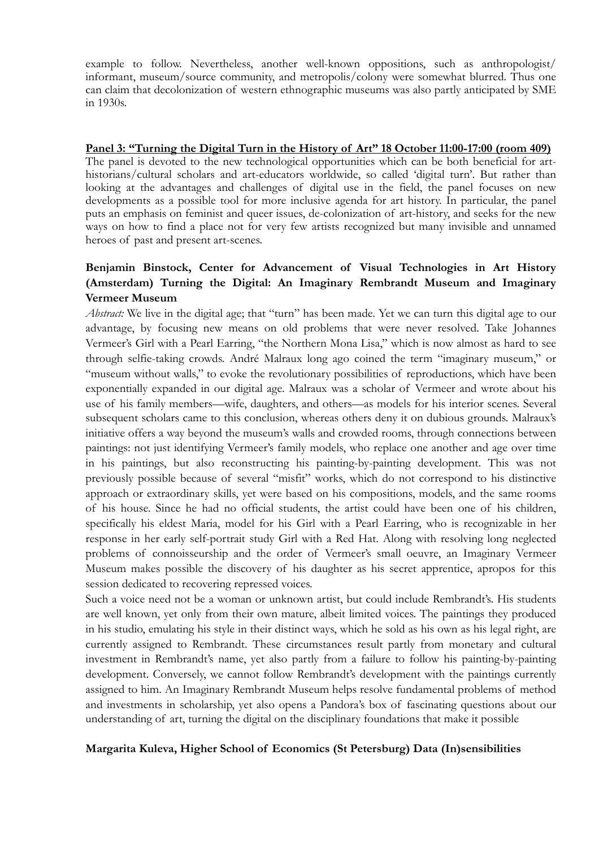example to follow. Nevertheless, another well-known oppositions, such as anthropologist/ informant, museum/source community, and metropolis/colony were somewhat blurred. Thus one can claim that decolonization of western ethnographic museums was also partly anticipated by SME in 1930s.

## **Panel 3: "Turning the Digital Turn in the History of Art" 18 October 11:00-17:00 (room 409)**

The panel is devoted to the new technological opportunities which can be both beneficial for arthistorians/cultural scholars and art-educators worldwide, so called 'digital turn'. But rather than looking at the advantages and challenges of digital use in the field, the panel focuses on new developments as a possible tool for more inclusive agenda for art history. In particular, the panel puts an emphasis on feminist and queer issues, de-colonization of art-history, and seeks for the new ways on how to find a place not for very few artists recognized but many invisible and unnamed heroes of past and present art-scenes.

# **Benjamin Binstock, Center for Advancement of Visual Technologies in Art History (Amsterdam) Turning the Digital: An Imaginary Rembrandt Museum and Imaginary Vermeer Museum**

*Abstract:* We live in the digital age; that "turn" has been made. Yet we can turn this digital age to our advantage, by focusing new means on old problems that were never resolved. Take Johannes Vermeer's Girl with a Pearl Earring, "the Northern Mona Lisa," which is now almost as hard to see through selfie-taking crowds. André Malraux long ago coined the term "imaginary museum," or "museum without walls," to evoke the revolutionary possibilities of reproductions, which have been exponentially expanded in our digital age. Malraux was a scholar of Vermeer and wrote about his use of his family members—wife, daughters, and others—as models for his interior scenes. Several subsequent scholars came to this conclusion, whereas others deny it on dubious grounds. Malraux's initiative offers a way beyond the museum's walls and crowded rooms, through connections between paintings: not just identifying Vermeer's family models, who replace one another and age over time in his paintings, but also reconstructing his painting-by-painting development. This was not previously possible because of several "misfit" works, which do not correspond to his distinctive approach or extraordinary skills, yet were based on his compositions, models, and the same rooms of his house. Since he had no official students, the artist could have been one of his children, specifically his eldest Maria, model for his Girl with a Pearl Earring, who is recognizable in her response in her early self-portrait study Girl with a Red Hat. Along with resolving long neglected problems of connoisseurship and the order of Vermeer's small oeuvre, an Imaginary Vermeer Museum makes possible the discovery of his daughter as his secret apprentice, apropos for this session dedicated to recovering repressed voices.

Such a voice need not be a woman or unknown artist, but could include Rembrandt's. His students are well known, yet only from their own mature, albeit limited voices. The paintings they produced in his studio, emulating his style in their distinct ways, which he sold as his own as his legal right, are currently assigned to Rembrandt. These circumstances result partly from monetary and cultural investment in Rembrandt's name, yet also partly from a failure to follow his painting-by-painting development. Conversely, we cannot follow Rembrandt's development with the paintings currently assigned to him. An Imaginary Rembrandt Museum helps resolve fundamental problems of method and investments in scholarship, yet also opens a Pandora's box of fascinating questions about our understanding of art, turning the digital on the disciplinary foundations that make it possible

## **Margarita Kuleva, Higher School of Economics (St Petersburg) Data (In)sensibilities**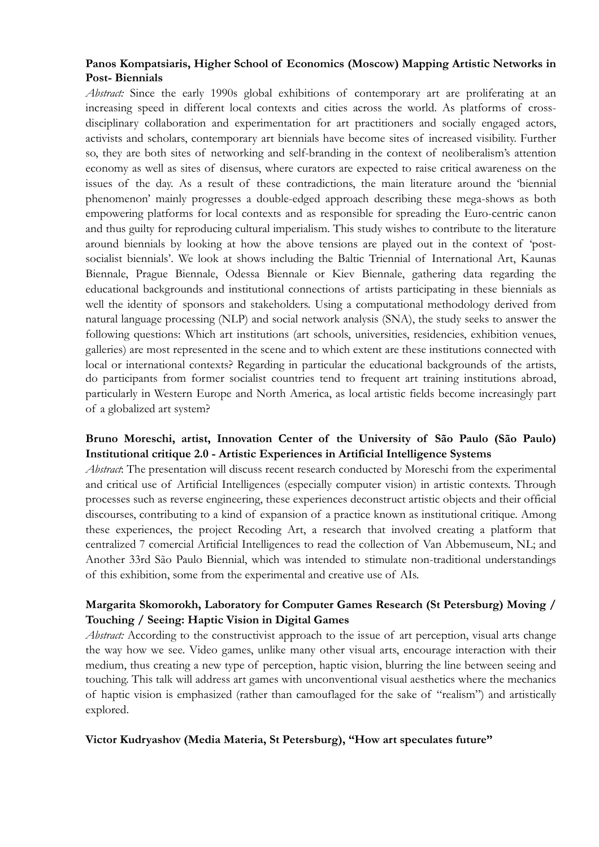## **Panos Kompatsiaris, Higher School of Economics (Moscow) Mapping Artistic Networks in Post- Biennials**

*Abstract:* Since the early 1990s global exhibitions of contemporary art are proliferating at an increasing speed in different local contexts and cities across the world. As platforms of crossdisciplinary collaboration and experimentation for art practitioners and socially engaged actors, activists and scholars, contemporary art biennials have become sites of increased visibility. Further so, they are both sites of networking and self-branding in the context of neoliberalism's attention economy as well as sites of disensus, where curators are expected to raise critical awareness on the issues of the day. As a result of these contradictions, the main literature around the 'biennial phenomenon' mainly progresses a double-edged approach describing these mega-shows as both empowering platforms for local contexts and as responsible for spreading the Euro-centric canon and thus guilty for reproducing cultural imperialism. This study wishes to contribute to the literature around biennials by looking at how the above tensions are played out in the context of 'postsocialist biennials'. We look at shows including the Baltic Triennial of International Art, Kaunas Biennale, Prague Biennale, Odessa Biennale or Kiev Biennale, gathering data regarding the educational backgrounds and institutional connections of artists participating in these biennials as well the identity of sponsors and stakeholders. Using a computational methodology derived from natural language processing (NLP) and social network analysis (SNA), the study seeks to answer the following questions: Which art institutions (art schools, universities, residencies, exhibition venues, galleries) are most represented in the scene and to which extent are these institutions connected with local or international contexts? Regarding in particular the educational backgrounds of the artists, do participants from former socialist countries tend to frequent art training institutions abroad, particularly in Western Europe and North America, as local artistic fields become increasingly part of a globalized art system?

## **Bruno Moreschi, artist, Innovation Center of the University of São Paulo (São Paulo) Institutional critique 2.0 - Artistic Experiences in Artificial Intelligence Systems**

*Abstract*: The presentation will discuss recent research conducted by Moreschi from the experimental and critical use of Artificial Intelligences (especially computer vision) in artistic contexts. Through processes such as reverse engineering, these experiences deconstruct artistic objects and their official discourses, contributing to a kind of expansion of a practice known as institutional critique. Among these experiences, the project Recoding Art, a research that involved creating a platform that centralized 7 comercial Artificial Intelligences to read the collection of Van Abbemuseum, NL; and Another 33rd São Paulo Biennial, which was intended to stimulate non-traditional understandings of this exhibition, some from the experimental and creative use of AIs.

## **Margarita Skomorokh, Laboratory for Computer Games Research (St Petersburg) Moving / Touching / Seeing: Haptic Vision in Digital Games**

*Abstract:* According to the constructivist approach to the issue of art perception, visual arts change the way how we see. Video games, unlike many other visual arts, encourage interaction with their medium, thus creating a new type of perception, haptic vision, blurring the line between seeing and touching. This talk will address art games with unconventional visual aesthetics where the mechanics of haptic vision is emphasized (rather than camouflaged for the sake of "realism") and artistically explored.

## **Victor Kudryashov (Media Materia, St Petersburg), "How art speculates future"**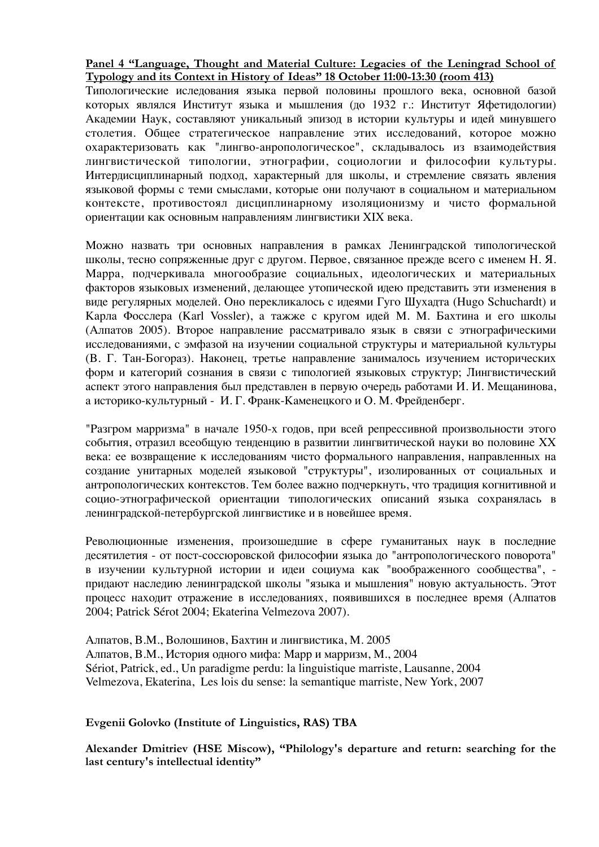## **Panel 4 "Language, Thought and Material Culture: Legacies of the Leningrad School of Typology and its Context in History of Ideas" 18 October 11:00-13:30 (room 413)**

Типологические иследования языка первой половины прошлого века, основной базой которых являлся Институт языка и мышления (до 1932 г.: Институт Яфетидологии) Академии Наук, составляют уникальный эпизод в истории культуры и идей минувшего столетия. Общее стратегическое направление этих исследований, которое можно охарактеризовать как "лингво-анропологическое", складывалось из взаимодействия лингвистической типологии, этнографии, социологии и философии культуры. Интердисциплинарный подход, характерный для школы, и стремление связать явления языковой формы с теми смыслами, которые они получают в социальном и материальном контексте, противостоял дисциплинарному изоляционизму и чисто формальной ориентации как основным направлениям лингвистики ХІХ века.

Можно назвать три основных направления в рамках Ленинградской типологической школы, тесно сопряженные друг с другом. Первое, связанное прежде всего с именем Н. Я. Марра, подчеркивала многообразие социальных, идеологических и материальных факторов языковых изменений, делающее утопической идею представить эти изменения в виде регулярных моделей. Оно перекликалось с идеями Гуго Шухадта (Hugo Schuchardt) и Карла Фосслера (Karl Vossler), а тажже с кругом идей М. М. Бахтина и его школы (Алпатов 2005). Второе направление рассматривало язык в связи с этнографическими исследованиями, с эмфазой на изучении социальной структуры и материальной культуры (В. Г. Тан-Богораз). Наконец, третье направление занималось изучением исторических форм и категорий сознания в связи с типологией языковых структур; Лингвистический аспект этого направления был представлен в первую очередь работами И. И. Мещанинова, а историко-культурный - И. Г. Франк-Каменецкого и О. М. Фрейденберг.

"Разгром марризма" в начале 1950-х годов, при всей репрессивной произвольности этого события, отразил всеобщую тенденцию в развитии лингвитической науки во половине ХХ века: ее возвращение к исследованиям чисто формального направления, направленных на создание унитарных моделей языковой "структуры", изолированных от социальных и антропологических контекстов. Тем более важно подчеркнуть, что традиция когнитивной и социо-этнографической ориентации типологических описаний языка сохранялась в ленинградской-петербургской лингвистике и в новейшее время.

Революционные изменения, произошедшие в сфере гуманитаных наук в последние десятилетия - от пост-соссюровской философии языка до "антропологического поворота" в изучении культурной истории и идеи социума как "воображенного сообщества", придают наследию ленинградской школы "языка и мышления" новую актуальность. Этот процесс находит отражение в исследованиях, появившихся в последнее время (Алпатов 2004; Patrick Sérot 2004; Ekaterina Velmezova 2007).

Алпатов, В.М., Волошинов, Бахтин и лингвистика, М. 2005 Алпатов, В.М., История одного мифа: Марр и марризм, М., 2004 Sériot, Patrick, ed., Un paradigme perdu: la linguistique marriste, Lausanne, 2004 Velmezova, Ekaterina, Les lois du sense: la semantique marriste, New York, 2007

**Evgenii Golovko (Institute of Linguistics, RAS) TBA** 

**Alexander Dmitriev (HSE Miscow), "Philology's departure and return: searching for the last century's intellectual identity"**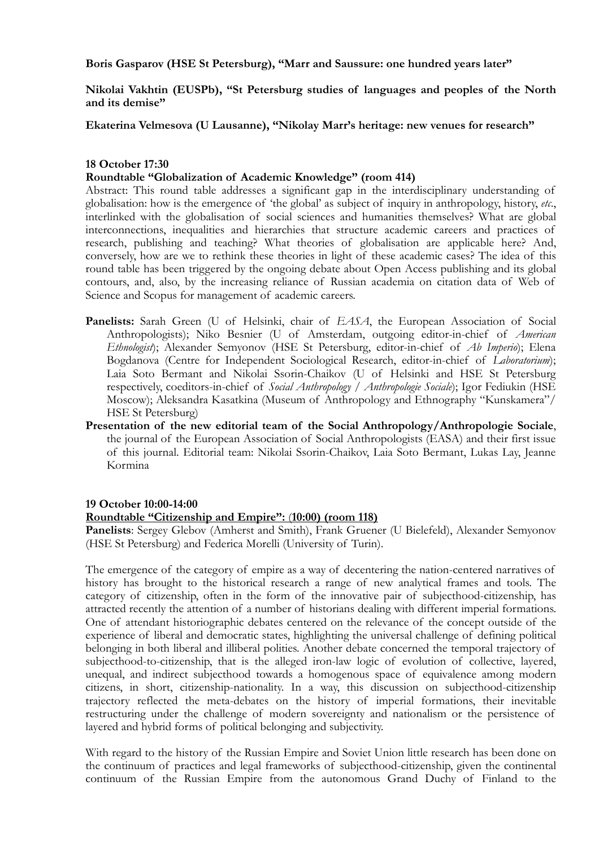**Boris Gasparov (HSE St Petersburg), "Marr and Saussure: one hundred years later"** 

**Nikolai Vakhtin (EUSPb), "St Petersburg studies of languages and peoples of the North and its demise"** 

**Ekaterina Velmesova (U Lausanne), "Nikolay Marr's heritage: new venues for research"** 

#### **18 October 17:30**

## **Roundtable "Globalization of Academic Knowledge" (room 414)**

Abstract: This round table addresses a significant gap in the interdisciplinary understanding of globalisation: how is the emergence of 'the global' as subject of inquiry in anthropology, history, *etc*., interlinked with the globalisation of social sciences and humanities themselves? What are global interconnections, inequalities and hierarchies that structure academic careers and practices of research, publishing and teaching? What theories of globalisation are applicable here? And, conversely, how are we to rethink these theories in light of these academic cases? The idea of this round table has been triggered by the ongoing debate about Open Access publishing and its global contours, and, also, by the increasing reliance of Russian academia on citation data of Web of Science and Scopus for management of academic careers.

- Panelists: Sarah Green (U of Helsinki, chair of *EASA*, the European Association of Social Anthropologists); Niko Besnier (U of Amsterdam, outgoing editor-in-chief of *American Ethnologist*); Alexander Semyonov (HSE St Petersburg, editor-in-chief of *Ab Imperio*); Elena Bogdanova (Centre for Independent Sociological Research, editor-in-chief of *Laboratorium*); Laia Soto Bermant and Nikolai Ssorin-Chaikov (U of Helsinki and HSE St Petersburg respectively, coeditors-in-chief of *Social Anthropology / Anthropologie Sociale*); Igor Fediukin (HSE Moscow); Aleksandra Kasatkina (Museum of Anthropology and Ethnography "Kunskamera"/ HSE St Petersburg)
- **Presentation of the new editorial team of the Social Anthropology/Anthropologie Sociale**, the journal of the European Association of Social Anthropologists (EASA) and their first issue of this journal. Editorial team: Nikolai Ssorin-Chaikov, Laia Soto Bermant, Lukas Lay, Jeanne Kormina

#### **19 October 10:00-14:00**

## **Roundtable "Citizenship and Empire":** (**10:00) (room 118)**

**Panelists**: Sergey Glebov (Amherst and Smith), Frank Gruener (U Bielefeld), Alexander Semyonov (HSE St Petersburg) and Federica Morelli (University of Turin).

The emergence of the category of empire as a way of decentering the nation-centered narratives of history has brought to the historical research a range of new analytical frames and tools. The category of citizenship, often in the form of the innovative pair of subjecthood-citizenship, has attracted recently the attention of a number of historians dealing with different imperial formations. One of attendant historiographic debates centered on the relevance of the concept outside of the experience of liberal and democratic states, highlighting the universal challenge of defining political belonging in both liberal and illiberal polities. Another debate concerned the temporal trajectory of subjecthood-to-citizenship, that is the alleged iron-law logic of evolution of collective, layered, unequal, and indirect subjecthood towards a homogenous space of equivalence among modern citizens, in short, citizenship-nationality. In a way, this discussion on subjecthood-citizenship trajectory reflected the meta-debates on the history of imperial formations, their inevitable restructuring under the challenge of modern sovereignty and nationalism or the persistence of layered and hybrid forms of political belonging and subjectivity.

With regard to the history of the Russian Empire and Soviet Union little research has been done on the continuum of practices and legal frameworks of subjecthood-citizenship, given the continental continuum of the Russian Empire from the autonomous Grand Duchy of Finland to the